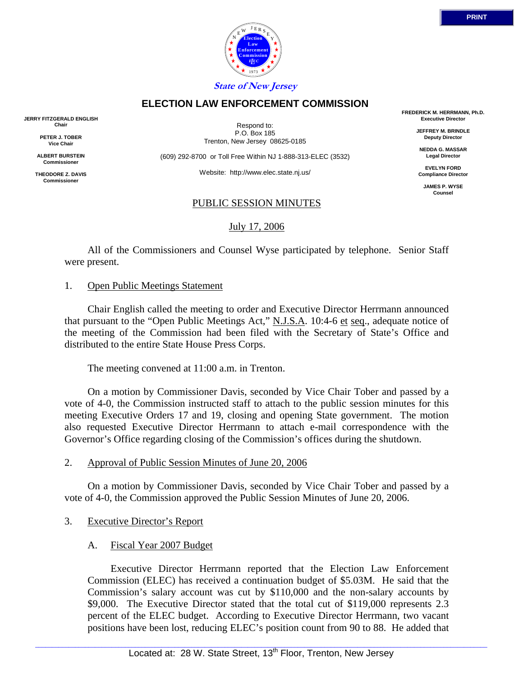



### **ELECTION LAW ENFORCEMENT COMMISSION**

**JERRY FITZGERALD ENGLISH Chair**

> **PETER J. TOBER Vice Chair**

**ALBERT BURSTEIN Commissioner** 

**THEODORE Z. DAVIS Commissione** 

Respond to: P.O. Box 185 Trenton, New Jersey 08625-0185

(609) 292-8700 or Toll Free Within NJ 1-888-313-ELEC (3532)

Website: http://www.elec.state.nj.us/

#### PUBLIC SESSION MINUTES

July 17, 2006

 All of the Commissioners and Counsel Wyse participated by telephone. Senior Staff were present.

#### 1. Open Public Meetings Statement

 Chair English called the meeting to order and Executive Director Herrmann announced that pursuant to the "Open Public Meetings Act," N.J.S.A. 10:4-6 et seq., adequate notice of the meeting of the Commission had been filed with the Secretary of State's Office and distributed to the entire State House Press Corps.

The meeting convened at 11:00 a.m. in Trenton.

 On a motion by Commissioner Davis, seconded by Vice Chair Tober and passed by a vote of 4-0, the Commission instructed staff to attach to the public session minutes for this meeting Executive Orders 17 and 19, closing and opening State government. The motion also requested Executive Director Herrmann to attach e-mail correspondence with the Governor's Office regarding closing of the Commission's offices during the shutdown.

### 2. Approval of Public Session Minutes of June 20, 2006

 On a motion by Commissioner Davis, seconded by Vice Chair Tober and passed by a vote of 4-0, the Commission approved the Public Session Minutes of June 20, 2006.

### 3. Executive Director's Report

### A. Fiscal Year 2007 Budget

 Executive Director Herrmann reported that the Election Law Enforcement Commission (ELEC) has received a continuation budget of \$5.03M. He said that the Commission's salary account was cut by \$110,000 and the non-salary accounts by \$9,000. The Executive Director stated that the total cut of \$119,000 represents 2.3 percent of the ELEC budget. According to Executive Director Herrmann, two vacant positions have been lost, reducing ELEC's position count from 90 to 88. He added that

**FREDERICK M. HERRMANN, Ph.D. Executive Director**

> **JEFFREY M. BRINDLE Deputy Director**

**NEDDA G. MASSAR Legal Director**

**EVELYN FORD Compliance Director**

**JAMES P. WYSE Counsel**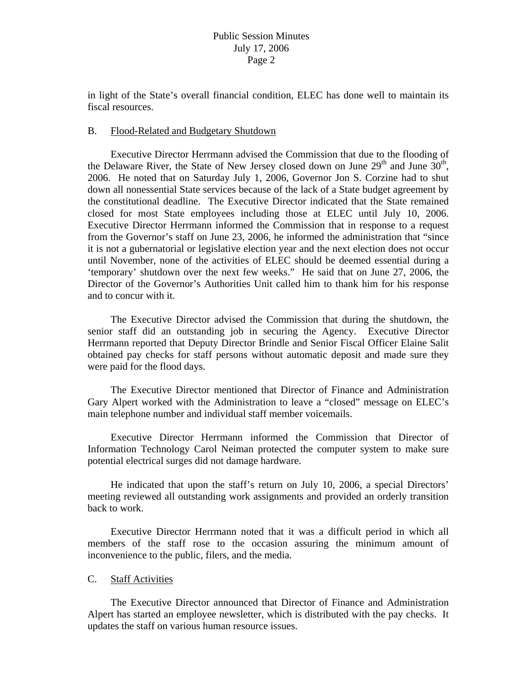in light of the State's overall financial condition, ELEC has done well to maintain its fiscal resources.

### B. Flood-Related and Budgetary Shutdown

 Executive Director Herrmann advised the Commission that due to the flooding of the Delaware River, the State of New Jersey closed down on June  $29<sup>th</sup>$  and June  $30<sup>th</sup>$ , 2006. He noted that on Saturday July 1, 2006, Governor Jon S. Corzine had to shut down all nonessential State services because of the lack of a State budget agreement by the constitutional deadline. The Executive Director indicated that the State remained closed for most State employees including those at ELEC until July 10, 2006. Executive Director Herrmann informed the Commission that in response to a request from the Governor's staff on June 23, 2006, he informed the administration that "since it is not a gubernatorial or legislative election year and the next election does not occur until November, none of the activities of ELEC should be deemed essential during a 'temporary' shutdown over the next few weeks." He said that on June 27, 2006, the Director of the Governor's Authorities Unit called him to thank him for his response and to concur with it.

 The Executive Director advised the Commission that during the shutdown, the senior staff did an outstanding job in securing the Agency. Executive Director Herrmann reported that Deputy Director Brindle and Senior Fiscal Officer Elaine Salit obtained pay checks for staff persons without automatic deposit and made sure they were paid for the flood days.

 The Executive Director mentioned that Director of Finance and Administration Gary Alpert worked with the Administration to leave a "closed" message on ELEC's main telephone number and individual staff member voicemails.

 Executive Director Herrmann informed the Commission that Director of Information Technology Carol Neiman protected the computer system to make sure potential electrical surges did not damage hardware.

 He indicated that upon the staff's return on July 10, 2006, a special Directors' meeting reviewed all outstanding work assignments and provided an orderly transition back to work.

 Executive Director Herrmann noted that it was a difficult period in which all members of the staff rose to the occasion assuring the minimum amount of inconvenience to the public, filers, and the media.

## C. Staff Activities

 The Executive Director announced that Director of Finance and Administration Alpert has started an employee newsletter, which is distributed with the pay checks. It updates the staff on various human resource issues.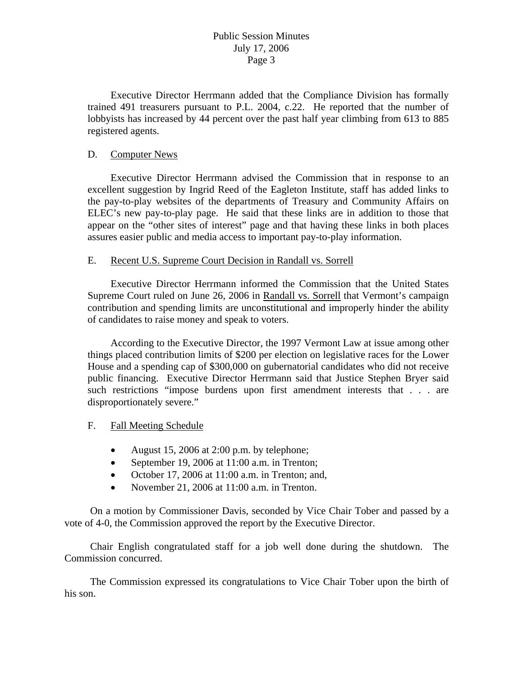# Public Session Minutes July 17, 2006 Page 3

 Executive Director Herrmann added that the Compliance Division has formally trained 491 treasurers pursuant to P.L. 2004, c.22. He reported that the number of lobbyists has increased by 44 percent over the past half year climbing from 613 to 885 registered agents.

## D. Computer News

 Executive Director Herrmann advised the Commission that in response to an excellent suggestion by Ingrid Reed of the Eagleton Institute, staff has added links to the pay-to-play websites of the departments of Treasury and Community Affairs on ELEC's new pay-to-play page. He said that these links are in addition to those that appear on the "other sites of interest" page and that having these links in both places assures easier public and media access to important pay-to-play information.

### E. Recent U.S. Supreme Court Decision in Randall vs. Sorrell

 Executive Director Herrmann informed the Commission that the United States Supreme Court ruled on June 26, 2006 in Randall vs. Sorrell that Vermont's campaign contribution and spending limits are unconstitutional and improperly hinder the ability of candidates to raise money and speak to voters.

 According to the Executive Director, the 1997 Vermont Law at issue among other things placed contribution limits of \$200 per election on legislative races for the Lower House and a spending cap of \$300,000 on gubernatorial candidates who did not receive public financing. Executive Director Herrmann said that Justice Stephen Bryer said such restrictions "impose burdens upon first amendment interests that . . . are disproportionately severe."

## F. Fall Meeting Schedule

- August 15, 2006 at 2:00 p.m. by telephone;
- September 19, 2006 at 11:00 a.m. in Trenton;
- October 17, 2006 at 11:00 a.m. in Trenton; and,
- November 21, 2006 at 11:00 a.m. in Trenton.

 On a motion by Commissioner Davis, seconded by Vice Chair Tober and passed by a vote of 4-0, the Commission approved the report by the Executive Director.

 Chair English congratulated staff for a job well done during the shutdown. The Commission concurred.

 The Commission expressed its congratulations to Vice Chair Tober upon the birth of his son.